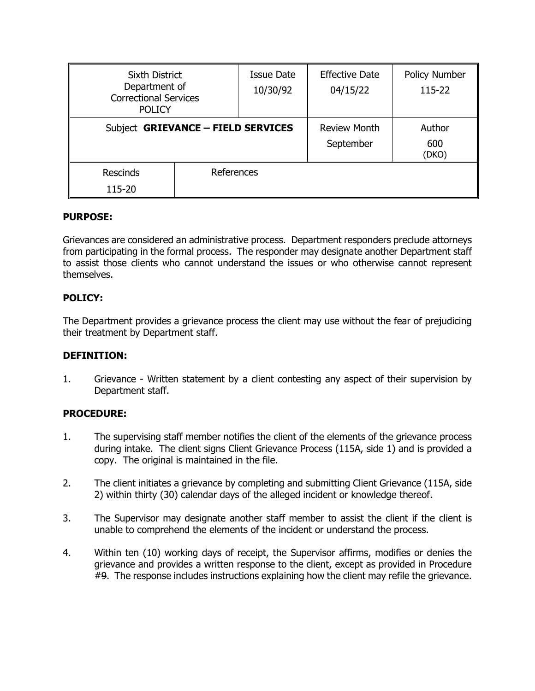| <b>Sixth District</b><br>Department of<br><b>Correctional Services</b><br><b>POLICY</b> |            | <b>Issue Date</b><br>10/30/92    | <b>Effective Date</b><br>04/15/22 | Policy Number<br>115-22 |
|-----------------------------------------------------------------------------------------|------------|----------------------------------|-----------------------------------|-------------------------|
| Subject GRIEVANCE - FIELD SERVICES                                                      |            | <b>Review Month</b><br>September | Author<br>600<br>(DKO)            |                         |
| <b>Rescinds</b><br>115-20                                                               | References |                                  |                                   |                         |

# **PURPOSE:**

Grievances are considered an administrative process. Department responders preclude attorneys from participating in the formal process. The responder may designate another Department staff to assist those clients who cannot understand the issues or who otherwise cannot represent themselves.

# **POLICY:**

The Department provides a grievance process the client may use without the fear of prejudicing their treatment by Department staff.

### **DEFINITION:**

1. Grievance - Written statement by a client contesting any aspect of their supervision by Department staff.

### **PROCEDURE:**

- 1. The supervising staff member notifies the client of the elements of the grievance process during intake. The client signs Client Grievance Process (115A, side 1) and is provided a copy. The original is maintained in the file.
- 2. The client initiates a grievance by completing and submitting Client Grievance (115A, side 2) within thirty (30) calendar days of the alleged incident or knowledge thereof.
- 3. The Supervisor may designate another staff member to assist the client if the client is unable to comprehend the elements of the incident or understand the process.
- 4. Within ten (10) working days of receipt, the Supervisor affirms, modifies or denies the grievance and provides a written response to the client, except as provided in Procedure #9. The response includes instructions explaining how the client may refile the grievance.